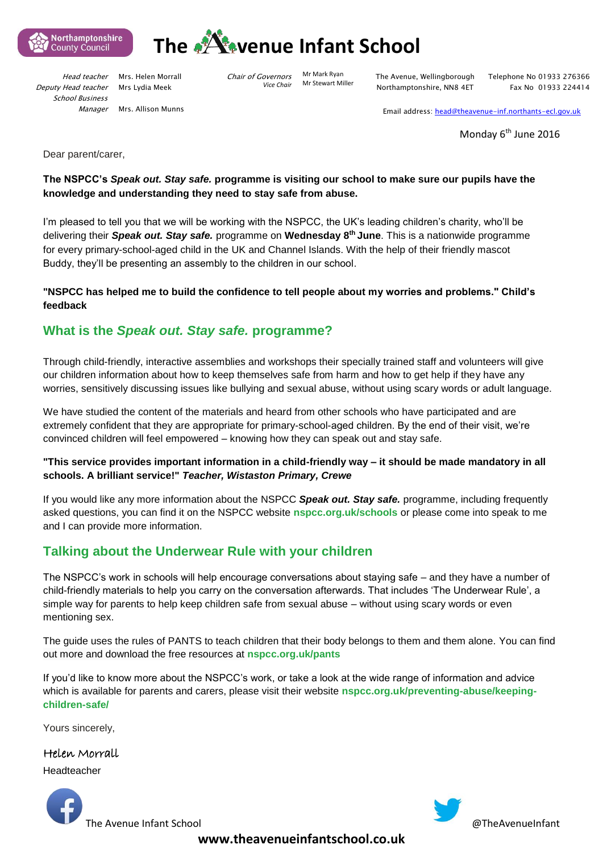



Deputy Head teacher School Business *Manager* 

Head teacher Mrs. Helen Morrall Mrs Lydia Meek

Mrs. Allison Munns

Chair of Governors *Vice Chair* 

Mr Mark Ryan Mr Stewart Miller The Avenue, Wellingborough Northamptonshire, NN8 4ET

Telephone No 01933 276366 Fax No 01933 224414

Email address: [head@theavenue-inf.northants-ecl.gov.uk](mailto:head@theavenue-inf.northants-ecl.gov.uk)

Monday 6<sup>th</sup> June 2016

Dear parent/carer,

## **The NSPCC's** *Speak out. Stay safe.* **programme is visiting our school to make sure our pupils have the knowledge and understanding they need to stay safe from abuse.**

I'm pleased to tell you that we will be working with the NSPCC, the UK's leading children's charity, who'll be delivering their *Speak out. Stay safe.* programme on **Wednesday 8th June**. This is a nationwide programme for every primary-school-aged child in the UK and Channel Islands. With the help of their friendly mascot Buddy, they'll be presenting an assembly to the children in our school.

## **"NSPCC has helped me to build the confidence to tell people about my worries and problems." Child's feedback**

# **What is the** *Speak out. Stay safe.* **programme?**

Through child-friendly, interactive assemblies and workshops their specially trained staff and volunteers will give our children information about how to keep themselves safe from harm and how to get help if they have any worries, sensitively discussing issues like bullying and sexual abuse, without using scary words or adult language.

We have studied the content of the materials and heard from other schools who have participated and are extremely confident that they are appropriate for primary-school-aged children. By the end of their visit, we're convinced children will feel empowered – knowing how they can speak out and stay safe.

## **"This service provides important information in a child-friendly way – it should be made mandatory in all schools. A brilliant service!"** *Teacher, Wistaston Primary, Crewe*

If you would like any more information about the NSPCC *Speak out. Stay safe.* programme, including frequently asked questions, you can find it on the NSPCC website **nspcc.org.uk/schools** or please come into speak to me and I can provide more information.

# **Talking about the Underwear Rule with your children**

The NSPCC's work in schools will help encourage conversations about staying safe – and they have a number of child-friendly materials to help you carry on the conversation afterwards. That includes 'The Underwear Rule', a simple way for parents to help keep children safe from sexual abuse – without using scary words or even mentioning sex.

The guide uses the rules of PANTS to teach children that their body belongs to them and them alone. You can find out more and download the free resources at **nspcc.org.uk/pants**

If you'd like to know more about the NSPCC's work, or take a look at the wide range of information and advice which is available for parents and carers, please visit their website **nspcc.org.uk/preventing-abuse/keepingchildren-safe/**

Yours sincerely,

Helen Morrall Headteacher





**www.theavenueinfantschool.co.uk**